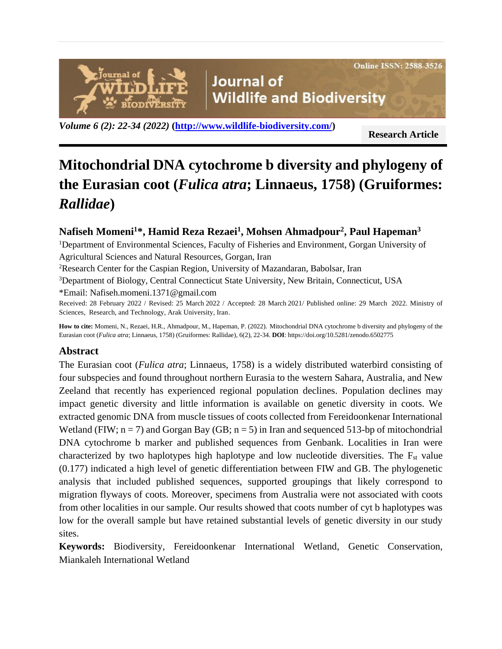**Online ISSN: 2588-3526** 

**Journal of Wildlife and Biodiversity** 

*Volume 6 (2): 22-34 (2022)* **[\(http://www.wildlife-biodiversity.com/\)](http://www.wildlife-biodiversity.com/)**

**Research Article**

# **Mitochondrial DNA cytochrome b diversity and phylogeny of the Eurasian coot (***Fulica atra***; Linnaeus, 1758) (Gruiformes:**  *Rallidae***)**

# **Nafiseh Momeni<sup>1</sup>\*, Hamid Reza Rezaei<sup>1</sup> , Mohsen Ahmadpour<sup>2</sup> , Paul Hapeman<sup>3</sup>**

<sup>1</sup>Department of Environmental Sciences, Faculty of Fisheries and Environment, Gorgan University of Agricultural Sciences and Natural Resources, Gorgan, Iran

<sup>2</sup>Research Center for the Caspian Region, University of Mazandaran, Babolsar, Iran

<sup>3</sup>Department of Biology, Central Connecticut State University, New Britain, Connecticut, USA

\*Email: [Nafiseh.momeni.1371@gmail.com](mailto:Nafiseh.momeni.1371@gmail.com)

ournal of

ODIVËRSIT

Received: 28 February 2022 / Revised: 25 March 2022 / Accepted: 28 March 2021/ Published online: 29 March 2022. Ministry of Sciences, Research, and Technology, Arak University, Iran.

**How to cite:** Momeni, N., Rezaei, H.R., Ahmadpour, M., Hapeman, P. (2022). Mitochondrial DNA cytochrome b diversity and phylogeny of the Eurasian coot (*Fulica atra*; Linnaeus, 1758) (Gruiformes: Rallidae), 6(2), 22-34. **DOI**: https://doi.org/10.5281/zenodo.6502775

## **Abstract**

The Eurasian coot (*Fulica atra*; Linnaeus, 1758) is a widely distributed waterbird consisting of four subspecies and found throughout northern Eurasia to the western Sahara, Australia, and New Zeeland that recently has experienced regional population declines. Population declines may impact genetic diversity and little information is available on genetic diversity in coots. We extracted genomic DNA from muscle tissues of coots collected from Fereidoonkenar International Wetland (FIW;  $n = 7$ ) and Gorgan Bay (GB;  $n = 5$ ) in Iran and sequenced 513-bp of mitochondrial DNA cytochrome b marker and published sequences from Genbank. Localities in Iran were characterized by two haplotypes high haplotype and low nucleotide diversities. The  $F_{st}$  value (0.177) indicated a high level of genetic differentiation between FIW and GB. The phylogenetic analysis that included published sequences, supported groupings that likely correspond to migration flyways of coots. Moreover, specimens from Australia were not associated with coots from other localities in our sample. Our results showed that coots number of cyt b haplotypes was low for the overall sample but have retained substantial levels of genetic diversity in our study sites.

**Keywords:** Biodiversity, Fereidoonkenar International Wetland, Genetic Conservation, Miankaleh International Wetland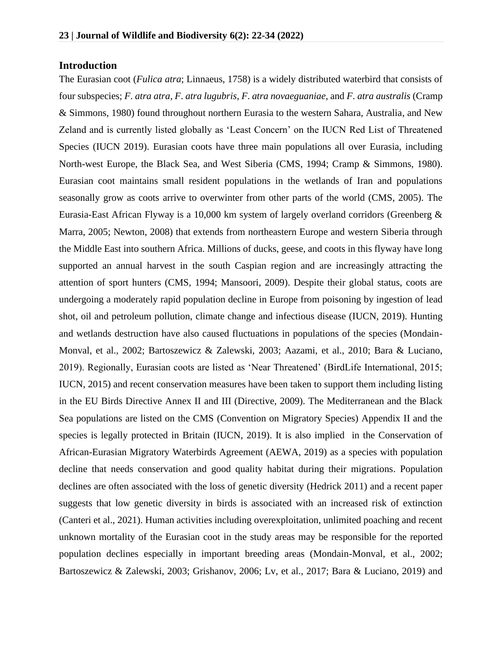## **Introduction**

The Eurasian coot (*Fulica atra*; Linnaeus, 1758) is a widely distributed waterbird that consists of four subspecies; *F*. *atra atra*, *F*. *atra lugubris*, *F*. *atra novaeguaniae*, and *F*. *atra australis* (Cramp & Simmons, 1980) found throughout northern Eurasia to the western Sahara, Australia, and New Zeland and is currently listed globally as 'Least Concern' on the IUCN Red List of Threatened Species (IUCN 2019). Eurasian coots have three main populations all over Eurasia, including North-west Europe, the Black Sea, and West Siberia (CMS, 1994; Cramp & Simmons, 1980). Eurasian coot maintains small resident populations in the wetlands of Iran and populations seasonally grow as coots arrive to overwinter from other parts of the world (CMS, 2005). The Eurasia-East African Flyway is a 10,000 km system of largely overland corridors (Greenberg & Marra, 2005; Newton, 2008) that extends from northeastern Europe and western Siberia through the Middle East into southern Africa. Millions of ducks, geese, and coots in this flyway have long supported an annual harvest in the south Caspian region and are increasingly attracting the attention of sport hunters (CMS, 1994; Mansoori, 2009). Despite their global status, coots are undergoing a moderately rapid population decline in Europe from poisoning by ingestion of lead shot, oil and petroleum pollution, climate change and infectious disease (IUCN, 2019). Hunting and wetlands destruction have also caused fluctuations in populations of the species (Mondain-Monval, et al., 2002; Bartoszewicz & Zalewski, 2003; Aazami, et al., 2010; Bara & Luciano, 2019). Regionally, Eurasian coots are listed as 'Near Threatened' (BirdLife International, 2015; IUCN, 2015) and recent conservation measures have been taken to support them including listing in the EU Birds Directive Annex II and III (Directive, 2009). The Mediterranean and the Black Sea populations are listed on the CMS (Convention on Migratory Species) Appendix II and the species is legally protected in Britain (IUCN, 2019). It is also implied in the Conservation of African-Eurasian Migratory Waterbirds Agreement (AEWA, 2019) as a species with population decline that needs conservation and good quality habitat during their migrations. Population declines are often associated with the loss of genetic diversity (Hedrick 2011) and a recent paper suggests that low genetic diversity in birds is associated with an increased risk of extinction (Canteri et al., 2021). Human activities including overexploitation, unlimited poaching and recent unknown mortality of the Eurasian coot in the study areas may be responsible for the reported population declines especially in important breeding areas (Mondain-Monval, et al., 2002; Bartoszewicz & Zalewski, 2003; Grishanov, 2006; Lv, et al., 2017; Bara & Luciano, 2019) and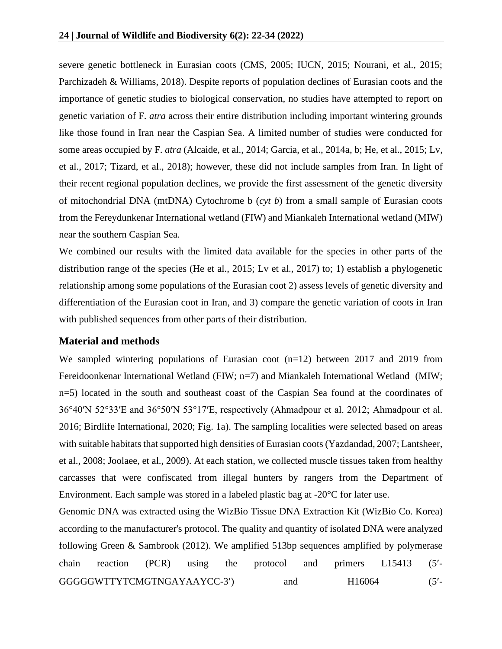severe genetic bottleneck in Eurasian coots (CMS, 2005; IUCN, 2015; Nourani, et al., 2015; Parchizadeh & Williams, 2018). Despite reports of population declines of Eurasian coots and the importance of genetic studies to biological conservation, no studies have attempted to report on genetic variation of F. *atra* across their entire distribution including important wintering grounds like those found in Iran near the Caspian Sea. A limited number of studies were conducted for some areas occupied by F. *atra* (Alcaide, et al., 2014; Garcia, et al., 2014a, b; He, et al., 2015; Lv, et al., 2017; Tizard, et al., 2018); however, these did not include samples from Iran. In light of their recent regional population declines, we provide the first assessment of the genetic diversity of mitochondrial DNA (mtDNA) Cytochrome b (*cyt b*) from a small sample of Eurasian coots from the Fereydunkenar International wetland (FIW) and Miankaleh International wetland (MIW) near the southern Caspian Sea.

We combined our results with the limited data available for the species in other parts of the distribution range of the species (He et al., 2015; Lv et al., 2017) to; 1) establish a phylogenetic relationship among some populations of the Eurasian coot 2) assess levels of genetic diversity and differentiation of the Eurasian coot in Iran, and 3) compare the genetic variation of coots in Iran with published sequences from other parts of their distribution.

#### **Material and methods**

We sampled wintering populations of Eurasian coot (n=12) between 2017 and 2019 from Fereidoonkenar International Wetland (FIW; n=7) and Miankaleh International Wetland (MIW; n=5) located in the south and southeast coast of the Caspian Sea found at the coordinates of 36°40′N 52°33′E and 36°50′N 53°17′E, respectively (Ahmadpour et al. 2012; Ahmadpour et al. 2016; Birdlife International, 2020; Fig. 1a). The sampling localities were selected based on areas with suitable habitats that supported high densities of Eurasian coots (Yazdandad, 2007; Lantsheer, et al., 2008; Joolaee, et al., 2009). At each station, we collected muscle tissues taken from healthy carcasses that were confiscated from illegal hunters by rangers from the Department of Environment. Each sample was stored in a labeled plastic bag at -20°C for later use.

Genomic DNA was extracted using the WizBio Tissue DNA Extraction Kit (WizBio Co. Korea) according to the manufacturer's protocol. The quality and quantity of isolated DNA were analyzed following Green & Sambrook (2012). We amplified 513bp sequences amplified by polymerase chain reaction (PCR) using the protocol and primers L15413 (5- GGGGGWTTYTCMGTNGAYAAYCC-3') and H16064 (5'-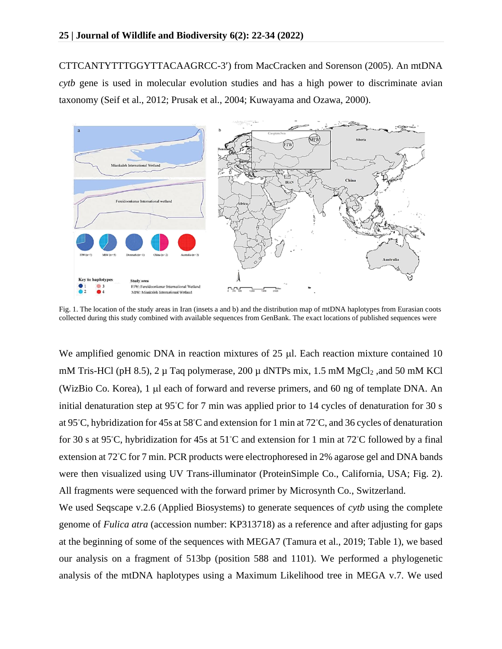CTTCANTYTTTGGYTTACAAGRCC-3) from MacCracken and Sorenson (2005). An mtDNA *cytb* gene is used in molecular evolution studies and has a high power to discriminate avian taxonomy (Seif et al., 2012; Prusak et al., 2004; Kuwayama and Ozawa, 2000).



Fig. 1. The location of the study areas in Iran (insets a and b) and the distribution map of mtDNA haplotypes from Eurasian coots collected during this study combined with available sequences from GenBank. The exact locations of published sequences were

We amplified genomic DNA in reaction mixtures of  $25 \mu$ . Each reaction mixture contained 10 mM Tris-HCl (pH 8.5), 2  $\mu$  Taq polymerase, 200  $\mu$  dNTPs mix, 1.5 mM MgCl<sub>2</sub>, and 50 mM KCl (WizBio Co. Korea), 1 µ each of forward and reverse primers, and 60 ng of template DNA. An initial denaturation step at 95◦C for 7 min was applied prior to 14 cycles of denaturation for 30 s at 95◦C, hybridization for 45s at 58◦C and extension for 1 min at 72◦C, and 36 cycles of denaturation for 30 s at 95◦C, hybridization for 45s at 51◦C and extension for 1 min at 72◦C followed by a final extension at 72°C for 7 min. PCR products were electrophoresed in 2% agarose gel and DNA bands were then visualized using UV Trans-illuminator (ProteinSimple Co., California, USA; Fig. 2). All fragments were sequenced with the forward primer by Microsynth Co., Switzerland.

We used Seqscape v.2.6 (Applied Biosystems) to generate sequences of *cytb* using the complete genome of *Fulica atra* (accession number: KP313718) as a reference and after adjusting for gaps at the beginning of some of the sequences with MEGA7 (Tamura et al., 2019; Table 1), we based our analysis on a fragment of 513bp (position 588 and 1101). We performed a phylogenetic analysis of the mtDNA haplotypes using a Maximum Likelihood tree in MEGA v.7. We used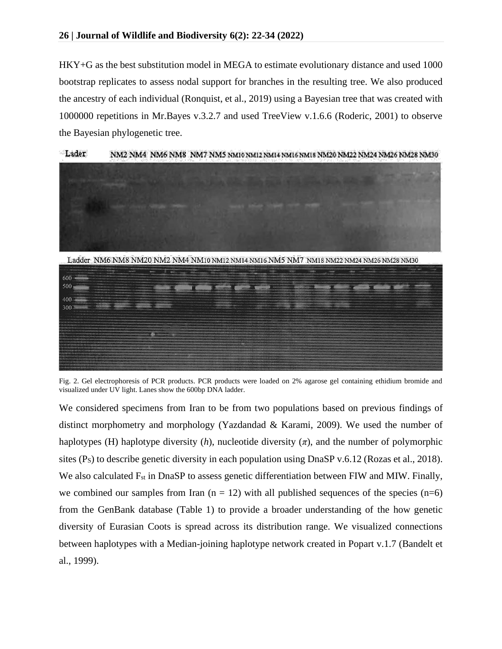HKY+G as the best substitution model in MEGA to estimate evolutionary distance and used 1000 bootstrap replicates to assess nodal support for branches in the resulting tree. We also produced the ancestry of each individual (Ronquist, et al., 2019) using a Bayesian tree that was created with 1000000 repetitions in Mr.Bayes v.3.2.7 and used TreeView v.1.6.6 (Roderic, 2001) to observe the Bayesian phylogenetic tree.



Lader NM2 NM4 NM6 NM8 NM7 NM5 NM10 NM12 NM14 NM16 NM18 NM20 NM22 NM24 NM26 NM28 NM30

Ladder NM6 NM8 NM20 NM2 NM4 NM10 NM12 NM14 NM16 NM5 NM7 NM18 NM22 NM24 NM26 NM28 NM30



Fig. 2. Gel electrophoresis of PCR products. PCR products were loaded on 2% agarose gel containing ethidium bromide and visualized under UV light. Lanes show the 600bp DNA ladder.

We considered specimens from Iran to be from two populations based on previous findings of distinct morphometry and morphology (Yazdandad & Karami, 2009). We used the number of haplotypes (H) haplotype diversity  $(h)$ , nucleotide diversity  $(\pi)$ , and the number of polymorphic sites  $(P<sub>S</sub>)$  to describe genetic diversity in each population using DnaSP v.6.12 (Rozas et al., 2018). We also calculated F<sub>st</sub> in DnaSP to assess genetic differentiation between FIW and MIW. Finally, we combined our samples from Iran  $(n = 12)$  with all published sequences of the species  $(n=6)$ from the GenBank database (Table 1) to provide a broader understanding of the how genetic diversity of Eurasian Coots is spread across its distribution range. We visualized connections between haplotypes with a Median-joining haplotype network created in Popart v.1.7 (Bandelt et al., 1999).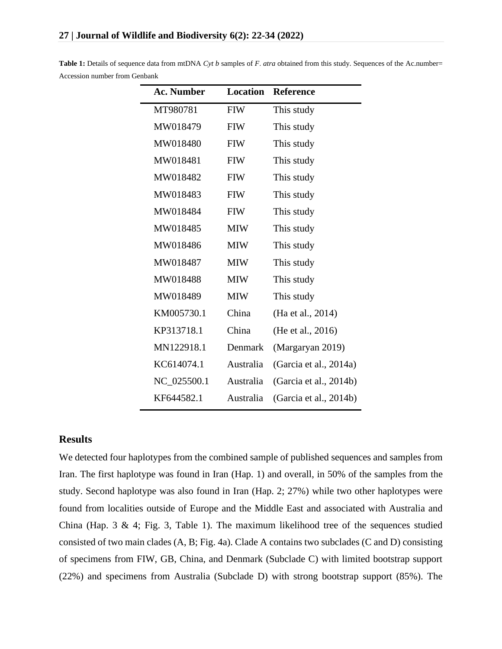| <b>Ac. Number</b> | Location   | <b>Reference</b>       |  |  |
|-------------------|------------|------------------------|--|--|
| MT980781          | <b>FIW</b> | This study             |  |  |
| MW018479          | <b>FIW</b> | This study             |  |  |
| MW018480          | <b>FIW</b> | This study             |  |  |
| MW018481          | <b>FIW</b> | This study             |  |  |
| MW018482          | <b>FIW</b> | This study             |  |  |
| MW018483          | <b>FIW</b> | This study             |  |  |
| MW018484          | <b>FIW</b> | This study             |  |  |
| MW018485          | <b>MIW</b> | This study             |  |  |
| MW018486          | <b>MIW</b> | This study             |  |  |
| MW018487          | <b>MIW</b> | This study             |  |  |
| MW018488          | <b>MIW</b> | This study             |  |  |
| MW018489          | <b>MIW</b> | This study             |  |  |
| KM005730.1        | China      | (Ha et al., 2014)      |  |  |
| KP313718.1        | China      | (He et al., 2016)      |  |  |
| MN122918.1        | Denmark    | (Margaryan 2019)       |  |  |
| KC614074.1        | Australia  | (Garcia et al., 2014a) |  |  |
| NC_025500.1       | Australia  | (Garcia et al., 2014b) |  |  |
| KF644582.1        | Australia  | (Garcia et al., 2014b) |  |  |

**Table 1:** Details of sequence data from mtDNA *Cyt b* samples of *F*. *atra* obtained from this study. Sequences of the Ac.number= Accession number from Genbank

#### **Results**

We detected four haplotypes from the combined sample of published sequences and samples from Iran. The first haplotype was found in Iran (Hap. 1) and overall, in 50% of the samples from the study. Second haplotype was also found in Iran (Hap. 2; 27%) while two other haplotypes were found from localities outside of Europe and the Middle East and associated with Australia and China (Hap.  $3 \& 4$ ; Fig.  $3$ , Table 1). The maximum likelihood tree of the sequences studied consisted of two main clades (A, B; Fig. 4a). Clade A contains two subclades (C and D) consisting of specimens from FIW, GB, China, and Denmark (Subclade C) with limited bootstrap support (22%) and specimens from Australia (Subclade D) with strong bootstrap support (85%). The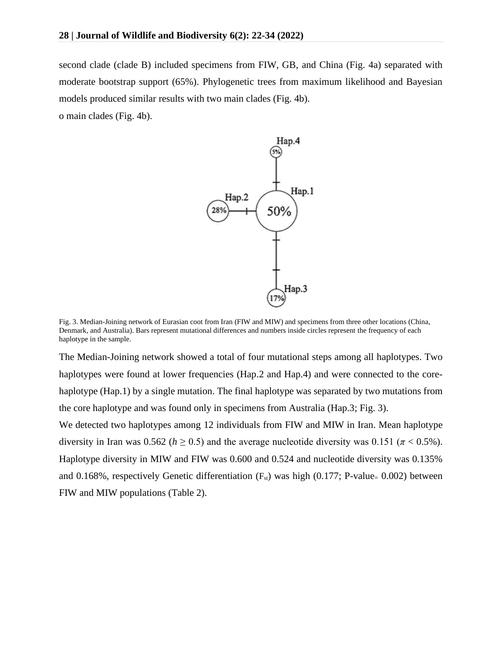second clade (clade B) included specimens from FIW, GB, and China (Fig. 4a) separated with moderate bootstrap support (65%). Phylogenetic trees from maximum likelihood and Bayesian models produced similar results with two main clades (Fig. 4b).

o main clades (Fig. 4b).



Fig. 3. Median-Joining network of Eurasian coot from Iran (FIW and MIW) and specimens from three other locations (China, Denmark, and Australia). Bars represent mutational differences and numbers inside circles represent the frequency of each haplotype in the sample.

The Median-Joining network showed a total of four mutational steps among all haplotypes. Two haplotypes were found at lower frequencies (Hap.2 and Hap.4) and were connected to the corehaplotype (Hap.1) by a single mutation. The final haplotype was separated by two mutations from the core haplotype and was found only in specimens from Australia (Hap.3; Fig. 3).

We detected two haplotypes among 12 individuals from FIW and MIW in Iran. Mean haplotype diversity in Iran was 0.562 ( $h \ge 0.5$ ) and the average nucleotide diversity was 0.151 ( $\pi$  < 0.5%). Haplotype diversity in MIW and FIW was 0.600 and 0.524 and nucleotide diversity was 0.135% and 0.168%, respectively Genetic differentiation  $(F_{st})$  was high (0.177; P-value= 0.002) between FIW and MIW populations (Table 2).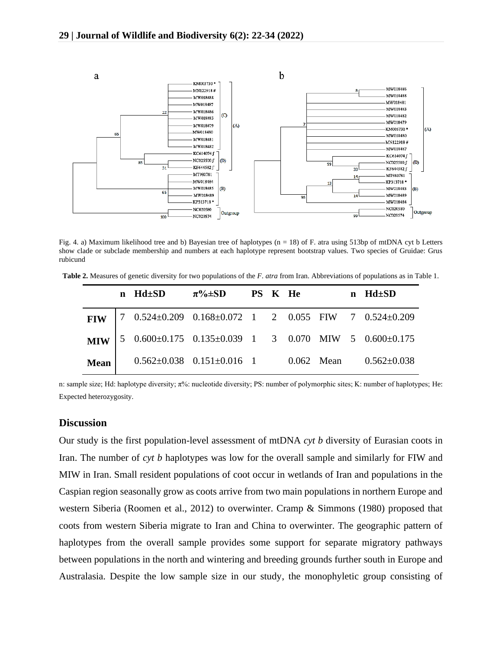

Fig. 4. a) Maximum likelihood tree and b) Bayesian tree of haplotypes ( $n = 18$ ) of F. atra using 513bp of mtDNA cyt b Letters show clade or subclade membership and numbers at each haplotype represent bootstrap values. Two species of Gruidae: Grus rubicund

**Table 2.** Measures of genetic diversity for two populations of the *F*. *atra* from Iran. Abbreviations of populations as in Table 1.

|      | $n$ Hd $\pm$ SD | $\pi\% \pm SD$ PS K He                                                                                                                            |  |  | $n$ Hd $\pm$ SD |
|------|-----------------|---------------------------------------------------------------------------------------------------------------------------------------------------|--|--|-----------------|
|      |                 | FIW   7 $0.524 \pm 0.209$ $0.168 \pm 0.072$ 1 2 $0.055$ FIW 7 $0.524 \pm 0.209$                                                                   |  |  |                 |
|      |                 | MIW $\begin{bmatrix} 5 & 0.600 \pm 0.175 & 0.135 \pm 0.039 & 1 & 3 & 0.070 \end{bmatrix}$ MIW $\begin{bmatrix} 5 & 0.600 \pm 0.175 \end{bmatrix}$ |  |  |                 |
| Mean |                 | $0.562 \pm 0.038$ $0.151 \pm 0.016$ 1 $0.062$ Mean $0.562 \pm 0.038$                                                                              |  |  |                 |

n: sample size; Hd: haplotype diversity; π%: nucleotide diversity; PS: number of polymorphic sites; K: number of haplotypes; He: Expected heterozygosity.

#### **Discussion**

Our study is the first population-level assessment of mtDNA *cyt b* diversity of Eurasian coots in Iran. The number of *cyt b* haplotypes was low for the overall sample and similarly for FIW and MIW in Iran. Small resident populations of coot occur in wetlands of Iran and populations in the Caspian region seasonally grow as coots arrive from two main populations in northern Europe and western Siberia (Roomen et al., 2012) to overwinter. Cramp & Simmons (1980) proposed that coots from western Siberia migrate to Iran and China to overwinter. The geographic pattern of haplotypes from the overall sample provides some support for separate migratory pathways between populations in the north and wintering and breeding grounds further south in Europe and Australasia. Despite the low sample size in our study, the monophyletic group consisting of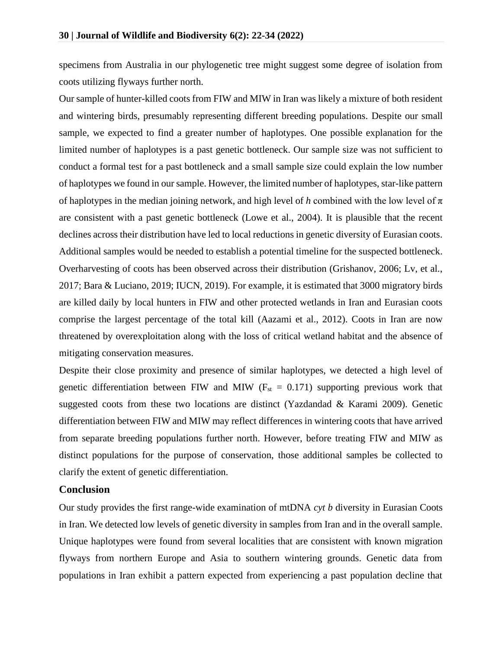specimens from Australia in our phylogenetic tree might suggest some degree of isolation from coots utilizing flyways further north.

Our sample of hunter-killed coots from FIW and MIW in Iran was likely a mixture of both resident and wintering birds, presumably representing different breeding populations. Despite our small sample, we expected to find a greater number of haplotypes. One possible explanation for the limited number of haplotypes is a past genetic bottleneck. Our sample size was not sufficient to conduct a formal test for a past bottleneck and a small sample size could explain the low number of haplotypes we found in our sample. However, the limited number of haplotypes, star-like pattern of haplotypes in the median joining network, and high level of *h* combined with the low level of  $\pi$ are consistent with a past genetic bottleneck (Lowe et al., 2004). It is plausible that the recent declines across their distribution have led to local reductions in genetic diversity of Eurasian coots. Additional samples would be needed to establish a potential timeline for the suspected bottleneck. Overharvesting of coots has been observed across their distribution (Grishanov, 2006; Lv, et al., 2017; Bara & Luciano, 2019; IUCN, 2019). For example, it is estimated that 3000 migratory birds are killed daily by local hunters in FIW and other protected wetlands in Iran and Eurasian coots comprise the largest percentage of the total kill (Aazami et al., 2012). Coots in Iran are now threatened by overexploitation along with the loss of critical wetland habitat and the absence of mitigating conservation measures.

Despite their close proximity and presence of similar haplotypes, we detected a high level of genetic differentiation between FIW and MIW ( $F_{st} = 0.171$ ) supporting previous work that suggested coots from these two locations are distinct (Yazdandad & Karami 2009). Genetic differentiation between FIW and MIW may reflect differences in wintering coots that have arrived from separate breeding populations further north. However, before treating FIW and MIW as distinct populations for the purpose of conservation, those additional samples be collected to clarify the extent of genetic differentiation.

### **Conclusion**

Our study provides the first range-wide examination of mtDNA *cyt b* diversity in Eurasian Coots in Iran. We detected low levels of genetic diversity in samples from Iran and in the overall sample. Unique haplotypes were found from several localities that are consistent with known migration flyways from northern Europe and Asia to southern wintering grounds. Genetic data from populations in Iran exhibit a pattern expected from experiencing a past population decline that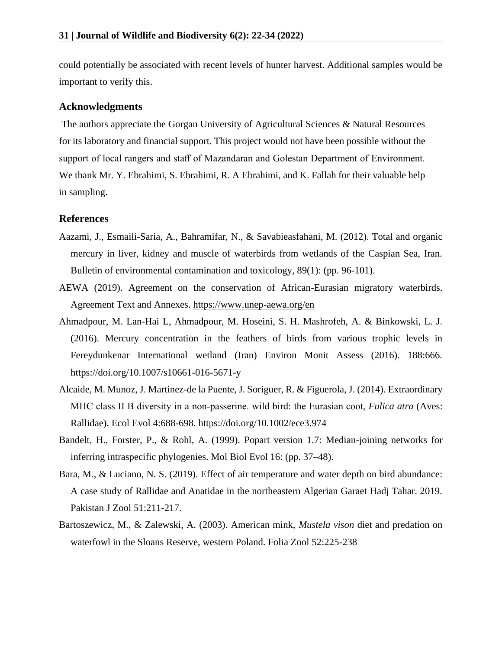could potentially be associated with recent levels of hunter harvest. Additional samples would be important to verify this.

#### **Acknowledgments**

The authors appreciate the Gorgan University of Agricultural Sciences & Natural Resources for its laboratory and financial support. This project would not have been possible without the support of local rangers and staff of Mazandaran and Golestan Department of Environment. We thank Mr. Y. Ebrahimi, S. Ebrahimi, R. A Ebrahimi, and K. Fallah for their valuable help in sampling.

#### **References**

- Aazami, J., Esmaili-Saria, A., Bahramifar, N., & Savabieasfahani, M. (2012). Total and organic mercury in liver, kidney and muscle of waterbirds from wetlands of the Caspian Sea, Iran. Bulletin of environmental contamination and toxicology, 89(1): (pp. 96-101).
- AEWA (2019). Agreement on the conservation of African-Eurasian migratory waterbirds. Agreement Text and Annexes.<https://www.unep-aewa.org/en>
- Ahmadpour, M. Lan-Hai L, Ahmadpour, M. Hoseini, S. H. Mashrofeh, A. & Binkowski, L. J. (2016). Mercury concentration in the feathers of birds from various trophic levels in Fereydunkenar International wetland (Iran) Environ Monit Assess (2016). 188:666. https://doi.org/10.1007/s10661-016-5671-y
- Alcaide, M. Munoz, J. Martinez-de la Puente, J. Soriguer, R. & Figuerola, J. (2014). Extraordinary MHC class II B diversity in a non-passerine. wild bird: the Eurasian coot, *Fulica atra* (Aves: Rallidae). Ecol Evol 4:688-698. https://doi.org/10.1002/ece3.974
- Bandelt, H., Forster, P., & Rohl, A. (1999). Popart version 1.7: Median-joining networks for inferring intraspecific phylogenies. Mol Biol Evol 16: (pp. 37–48).
- Bara, M., & Luciano, N. S. (2019). Effect of air temperature and water depth on bird abundance: A case study of Rallidae and Anatidae in the northeastern Algerian Garaet Hadj Tahar. 2019. Pakistan J Zool 51:211-217.
- Bartoszewicz, M., & Zalewski, A. (2003). American mink, *Mustela vison* diet and predation on waterfowl in the Sloans Reserve, western Poland. Folia Zool 52:225-238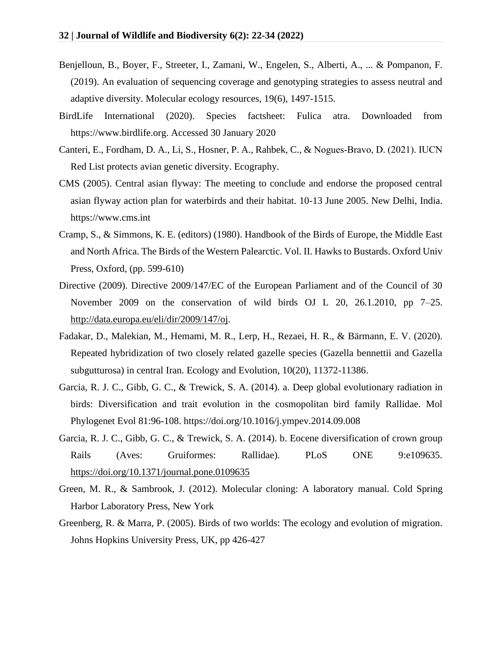- Benjelloun, B., Boyer, F., Streeter, I., Zamani, W., Engelen, S., Alberti, A., ... & Pompanon, F. (2019). An evaluation of sequencing coverage and genotyping strategies to assess neutral and adaptive diversity. Molecular ecology resources, 19(6), 1497-1515.
- BirdLife International (2020). Species factsheet: Fulica atra. Downloaded from https://www.birdlife.org. Accessed 30 January 2020
- Canteri, E., Fordham, D. A., Li, S., Hosner, P. A., Rahbek, C., & Nogues‐Bravo, D. (2021). IUCN Red List protects avian genetic diversity. Ecography.
- CMS (2005). Central asian flyway: The meeting to conclude and endorse the proposed central asian flyway action plan for waterbirds and their habitat. 10-13 June 2005. New Delhi, India. https://www.cms.int
- Cramp, S., & Simmons, K. E. (editors) (1980). Handbook of the Birds of Europe, the Middle East and North Africa. The Birds of the Western Palearctic. Vol. II. Hawks to Bustards. Oxford Univ Press, Oxford, (pp. 599-610)
- Directive (2009). Directive 2009/147/EC of the European Parliament and of the Council of 30 November 2009 on the conservation of wild birds OJ L 20, 26.1.2010, pp 7–25. [http://data.europa.eu/eli/dir/2009/147/oj.](http://data.europa.eu/eli/dir/2009/147/oj)
- Fadakar, D., Malekian, M., Hemami, M. R., Lerp, H., Rezaei, H. R., & Bärmann, E. V. (2020). Repeated hybridization of two closely related gazelle species (Gazella bennettii and Gazella subgutturosa) in central Iran. Ecology and Evolution, 10(20), 11372-11386.
- Garcia, R. J. C., Gibb, G. C., & Trewick, S. A. (2014). a. Deep global evolutionary radiation in birds: Diversification and trait evolution in the cosmopolitan bird family Rallidae. Mol Phylogenet Evol 81:96-108. https://doi.org/10.1016/j.ympev.2014.09.008
- Garcia, R. J. C., Gibb, G. C., & Trewick, S. A. (2014). b. Eocene diversification of crown group Rails (Aves: Gruiformes: Rallidae). PLoS ONE 9:e109635. <https://doi.org/10.1371/journal.pone.0109635>
- Green, M. R., & Sambrook, J. (2012). Molecular cloning: A laboratory manual. Cold Spring Harbor Laboratory Press, New York
- Greenberg, R. & Marra, P. (2005). Birds of two worlds: The ecology and evolution of migration. Johns Hopkins University Press, UK, pp 426-427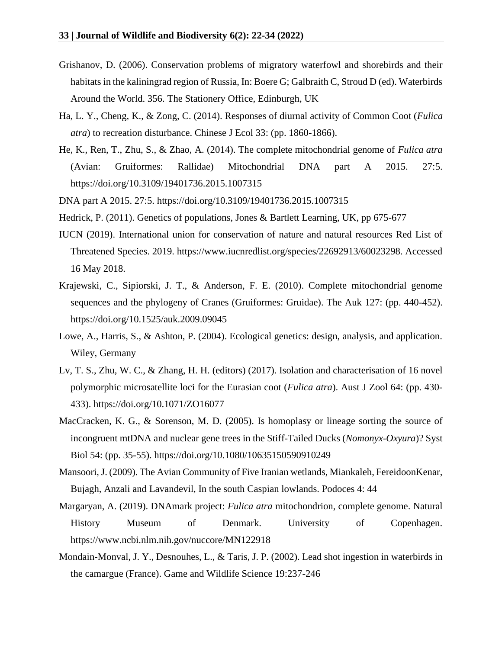- Grishanov, D. (2006). Conservation problems of migratory waterfowl and shorebirds and their habitats in the kaliningrad region of Russia, In: Boere G; Galbraith C, Stroud D (ed). Waterbirds Around the World. 356. The Stationery Office, Edinburgh, UK
- Ha, L. Y., Cheng, K., & Zong, C. (2014). Responses of diurnal activity of Common Coot (*Fulica atra*) to recreation disturbance. Chinese J Ecol 33: (pp. 1860-1866).
- He, K., Ren, T., Zhu, S., & Zhao, A. (2014). The complete mitochondrial genome of *Fulica atra* (Avian: Gruiformes: Rallidae) Mitochondrial DNA part A 2015. 27:5. https://doi.org/10.3109/19401736.2015.1007315
- DNA part A 2015. 27:5. https://doi.org/10.3109/19401736.2015.1007315
- Hedrick, P. (2011). Genetics of populations, Jones & Bartlett Learning, UK, pp 675-677
- IUCN (2019). International union for conservation of nature and natural resources Red List of Threatened Species. 2019. https://www.iucnredlist.org/species/22692913/60023298. Accessed 16 May 2018.
- Krajewski, C., Sipiorski, J. T., & Anderson, F. E. (2010). Complete mitochondrial genome sequences and the phylogeny of Cranes (Gruiformes: Gruidae). The Auk 127: (pp. 440-452). https://doi.org/10.1525/auk.2009.09045
- Lowe, A., Harris, S., & Ashton, P. (2004). Ecological genetics: design, analysis, and application. Wiley, Germany
- Lv, T. S., Zhu, W. C., & Zhang, H. H. (editors) (2017). Isolation and characterisation of 16 novel polymorphic microsatellite loci for the Eurasian coot (*Fulica atra*). Aust J Zool 64: (pp. 430- 433). https://doi.org/10.1071/ZO16077
- MacCracken, K. G., & Sorenson, M. D. (2005). Is homoplasy or lineage sorting the source of incongruent mtDNA and nuclear gene trees in the Stiff-Tailed Ducks (*Nomonyx-Oxyura*)? Syst Biol 54: (pp. 35-55). https://doi.org/10.1080/10635150590910249
- Mansoori, J. (2009). The Avian Community of Five Iranian wetlands, Miankaleh, FereidoonKenar, Bujagh, Anzali and Lavandevil, In the south Caspian lowlands. Podoces 4: 44
- Margaryan, A. (2019). DNAmark project: *Fulica atra* mitochondrion, complete genome. Natural History Museum of Denmark. University of Copenhagen. https://www.ncbi.nlm.nih.gov/nuccore/MN122918
- Mondain-Monval, J. Y., Desnouhes, L., & Taris, J. P. (2002). Lead shot ingestion in waterbirds in the camargue (France). Game and Wildlife Science 19:237-246